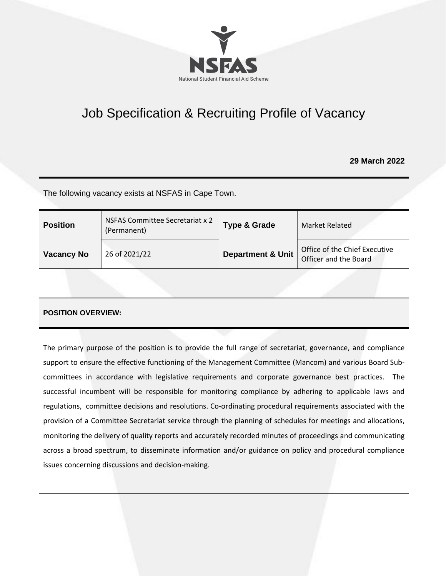

# Job Specification & Recruiting Profile of Vacancy

# **29 March 2022**

The following vacancy exists at NSFAS in Cape Town.

| <b>Position</b>   | NSFAS Committee Secretariat x 2<br>(Permanent) | <b>Type &amp; Grade</b>      | Market Related                                         |
|-------------------|------------------------------------------------|------------------------------|--------------------------------------------------------|
| <b>Vacancy No</b> | 26 of 2021/22                                  | <b>Department &amp; Unit</b> | Office of the Chief Executive<br>Officer and the Board |

## **POSITION OVERVIEW:**

The primary purpose of the position is to provide the full range of secretariat, governance, and compliance support to ensure the effective functioning of the Management Committee (Mancom) and various Board Subcommittees in accordance with legislative requirements and corporate governance best practices. The successful incumbent will be responsible for monitoring compliance by adhering to applicable laws and regulations, committee decisions and resolutions. Co-ordinating procedural requirements associated with the provision of a Committee Secretariat service through the planning of schedules for meetings and allocations, monitoring the delivery of quality reports and accurately recorded minutes of proceedings and communicating across a broad spectrum, to disseminate information and/or guidance on policy and procedural compliance issues concerning discussions and decision-making.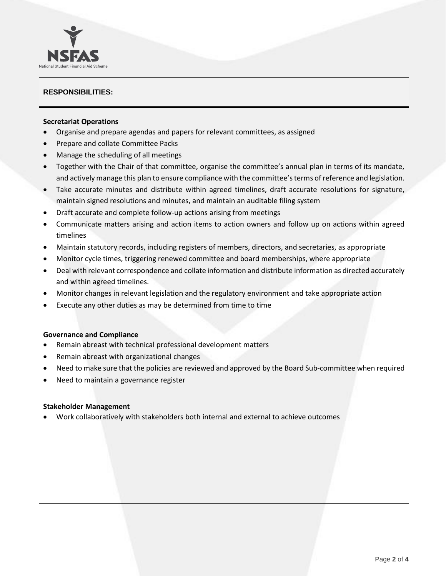## **RESPONSIBILITIES:**

National Student Financial Aid Scheme

#### **Secretariat Operations**

- Organise and prepare agendas and papers for relevant committees, as assigned
- Prepare and collate Committee Packs
- Manage the scheduling of all meetings
- Together with the Chair of that committee, organise the committee's annual plan in terms of its mandate, and actively manage this plan to ensure compliance with the committee's terms of reference and legislation.
- Take accurate minutes and distribute within agreed timelines, draft accurate resolutions for signature, maintain signed resolutions and minutes, and maintain an auditable filing system
- Draft accurate and complete follow-up actions arising from meetings
- Communicate matters arising and action items to action owners and follow up on actions within agreed timelines
- Maintain statutory records, including registers of members, directors, and secretaries, as appropriate
- Monitor cycle times, triggering renewed committee and board memberships, where appropriate
- Deal with relevant correspondence and collate information and distribute information as directed accurately and within agreed timelines.
- Monitor changes in relevant legislation and the regulatory environment and take appropriate action
- Execute any other duties as may be determined from time to time

#### **Governance and Compliance**

- Remain abreast with technical professional development matters
- Remain abreast with organizational changes
- Need to make sure that the policies are reviewed and approved by the Board Sub-committee when required
- Need to maintain a governance register

#### **Stakeholder Management**

• Work collaboratively with stakeholders both internal and external to achieve outcomes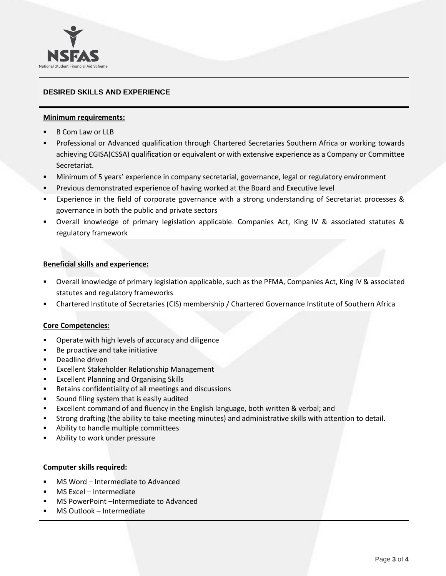# **DESIRED SKILLS AND EXPERIENCE**

## **Minimum requirements:**

■ B Com Law or LLB

National Student Financial Aid Scheme

- **Professional or Advanced qualification through Chartered Secretaries Southern Africa or working towards** achieving CGISA(CSSA) qualification or equivalent or with extensive experience as a Company or Committee Secretariat.
- Minimum of 5 years' experience in company secretarial, governance, legal or regulatory environment
- **•** Previous demonstrated experience of having worked at the Board and Executive level
- Experience in the field of corporate governance with a strong understanding of Secretariat processes & governance in both the public and private sectors
- Overall knowledge of primary legislation applicable. Companies Act, King IV & associated statutes & regulatory framework

## **Beneficial skills and experience:**

- Overall knowledge of primary legislation applicable, such as the PFMA, Companies Act, King IV & associated statutes and regulatory frameworks
- Chartered Institute of Secretaries (CIS) membership / Chartered Governance Institute of Southern Africa

## **Core Competencies:**

- Operate with high levels of accuracy and diligence
- Be proactive and take initiative
- Deadline driven
- Excellent Stakeholder Relationship Management
- Excellent Planning and Organising Skills
- Retains confidentiality of all meetings and discussions
- Sound filing system that is easily audited
- Excellent command of and fluency in the English language, both written & verbal; and
- Strong drafting (the ability to take meeting minutes) and administrative skills with attention to detail.
- Ability to handle multiple committees
- Ability to work under pressure

## **Computer skills required:**

- MS Word Intermediate to Advanced
- MS Excel Intermediate
- MS PowerPoint –Intermediate to Advanced
- MS Outlook Intermediate